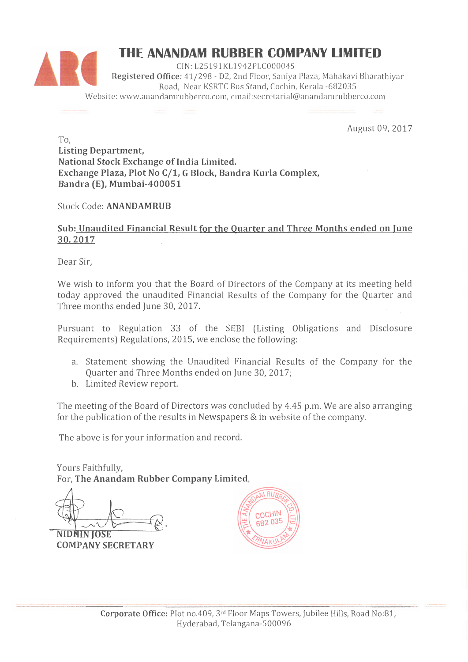

August 09, 2017

To, Listing Department, National Stock Exchange of India Limited. Exchange Plaza, Plot No C/1, G Block, Bandra Kurla Complex, Bandra (E), Mumbai-400051

Stock Code: ANANDAMRUB

# Sub: Unaudited Financial Result for the Quarter and Three Months ended on June 30. 2017

Dear Sir,

We wish to inform you that the Board of Directors of the Company at its meeting held today approved the unaudited Financial Results of the Company for the Quarter and Three months ended June 30, 2017.

Pursuant to Regulation 33 of the SEBI (Listing Obligations and Disclosure Requirements) Regulations, 2015, we enclose the following:

- a. Statement showing the Unaudited Financial Results of the Company for the Quarter and Three Months ended on June 30, 2017;
- b. Limited Review report.

The meeting of the Board of Directors was concluded by 4.45 p.m. We are also arranging for the publication of the results in Newspapers & in website of the company.

The above is for your information and record.

Yours Faithfully, For, The Anandam Rubber Company Limited,

**NIDHIN IOSE COMPANY SECRETARY** 

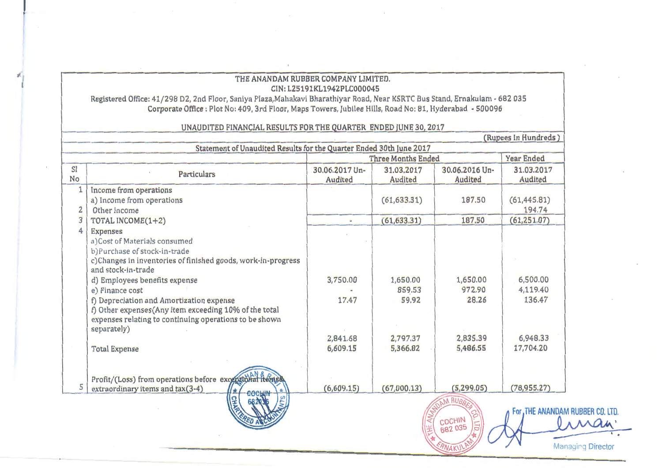## THE ANANDAM RUBBER COMPANY LIMITED. CIN: L25191KL1942PLC000045

Registered Office: 41/298 D2, 2nd Floor, Saniya Plaza, Mahakavi Bharathiyar Road, Near KSRTC Bus Stand, Ernakulam - 682 035 Corporate Office : Plot No: 409, 3rd Floor, Maps Towers, Jubilee Hills, Road No: 81, Hyderabad - 500096

#### (Rupees In Hundreds) Statement of Unaudited Results for the Quarter Ended 30th June 2017 **Three Months Ended Year Ended**  $S1$ 30.06.2017 Un-30.06.2016 Un-31.03.2017 31.03.2017 Particulars **No** Audited Audited Audited Audited Income from operations  $\mathbf{1}$ a) Income from operations  $(61, 633.31)$  $(61, 445.81)$ 187.50  $2<sup>1</sup>$ Other income 194.74  $3|$  $(61,251.07)$ TOTAL INCOME(1+2)  $(61, 633, 31)$ 187.50  $\sim$ 4 Expenses a)Cost of Materials consumed b)Purchase of stock-in-trade c)Changes in inventories of finished goods, work-in-progress and stock-in-trade 6,500.00 3,750.00 d) Employees benefits expense 1.650.00 1,650.00 e) Finance cost 859.53 972.90 4.119.40 f) Depreciation and Amortization expense 59.92 28.26 17.47 136.47 f) Other expenses (Any item exceeding 10% of the total expenses relating to continuing operations to be shown separately) 2.841.68 2.797.37 2.835.39 6.948.33 6,609.15 5.486.55 **Total Expense** 5.366.82 17.704.20 Profit/(Loss) from operations before exceptional fteras 5  $(5.299.05)$  $(78, 955, 27)$ extraordinary items and tax(3-4)  $(6.609.15)$  $(67.000.13)$ **M RURA**

For .THE ANANDAM RUBBER CO. LTD.

A Man

Managing Director

COCHIN<br>682 035

**ANAKU** 

## UNAUDITED FINANCIAL RESULTS FOR THE QUARTER ENDED JUNE 30, 2017

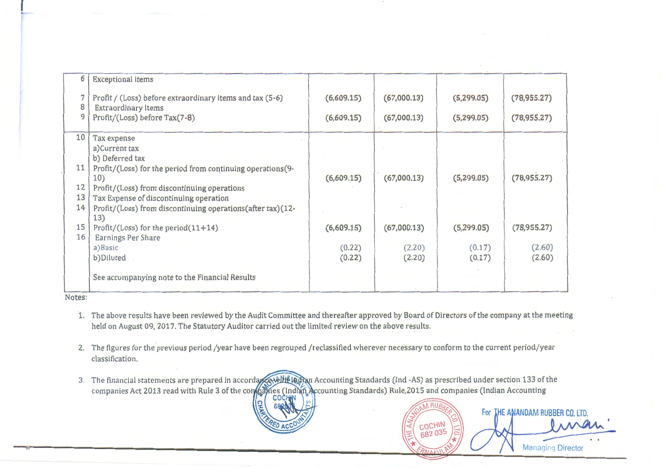| 6  | <b>Exceptional items</b>                                          |            |             |             |              |
|----|-------------------------------------------------------------------|------------|-------------|-------------|--------------|
|    | Profit / (Loss) before extraordinary items and tax (5-6)          | (6,609.15) | (67,000.13) | (5, 299.05) | (78, 955.27) |
| 8  | <b>Extraordinary items</b>                                        |            |             |             |              |
| 9  | Profit/(Loss) before Tax(7-8)                                     | (6,609.15) | (67,000.13) | (5, 299.05) | (78, 955.27) |
| 10 | Tax expense                                                       |            |             |             |              |
|    | a) Current tax                                                    |            |             |             |              |
|    | b) Deferred tax                                                   |            |             |             |              |
| 11 | Profit/(Loss) for the period from continuing operations(9-        |            |             |             |              |
|    | 10)                                                               | (6,609.15) | (67,000.13) | (5,299.05)  | (78, 955.27) |
| 12 | Profit/(Loss) from discontinuing operations                       |            |             |             |              |
| 13 | Tax Expense of discontinuing operation                            |            |             |             |              |
| 14 | Profit/(Loss) from discontinuing operations(after tax)(12-<br>13) |            |             |             |              |
| 15 | Profit/(Loss) for the period $(11+14)$                            | (6,609.15) | (67,000.13) | (5,299.05)  | (78, 955.27) |
| 16 | <b>Earnings Per Share</b>                                         |            |             |             |              |
|    | a) Basic                                                          | (0.22)     | (2.20)      | (0.17)      | (2.60)       |
|    | b)Diluted                                                         | (0.22)     | (2.20)      | (0.17)      | (2.60)       |
|    | See accompanying note to the Financial Results                    |            |             |             |              |
|    |                                                                   |            |             |             |              |

Notes:

1. The above results have been reviewed by the Audit Committee and thereafter approved by Board of Directors of the company at the meeting held on August 09, 2017. The Statutory Auditor carried out the limited review on the above results.

2. The figures for the previous period /year have been regrouped /reclassified wherever necessary to conform to the current period/year classification.

3. The financial statements are prepared in companies Act 2013 read with Rule 3 of the co CO

Managing Director

iman

For THE ANANDAM RUBBER CO. LTD

COCHIN

682 035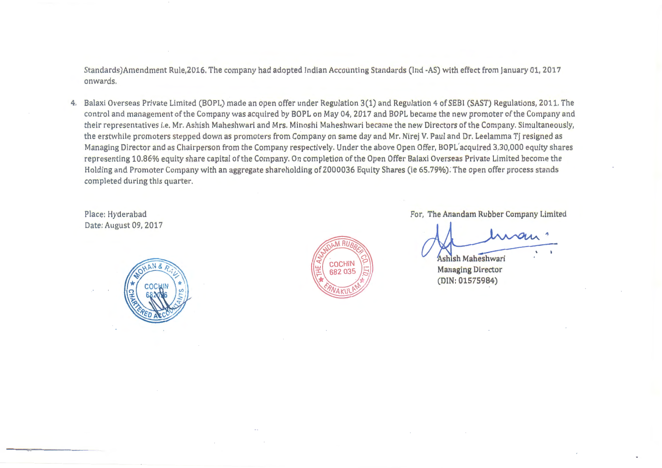Standards)Amendment Rule,2016. The company had adopted Indian Accounting Standards (Ind -AS) with effect from January 01, 2017 onwards.

4. Balaxi Overseas Private Limited (BOPL) made an open offer under Regulation 3(1) and Regulation 4 of SEBI (SAST) Regulations, 2011. The control and management of the Company was acquired by BOPL on May 04, 2017 and BOPL became the new promoter of the Company and their representatives i.e. Mr. Ashish Maheshwari and Mrs. Minoshi Maheshwari became the new Directors of the Company. Simultaneously, the erstwhile promoters stepped down as promoters from Company on same day and Mr. Nirej V. Paul and Dr. Leelamma TJ resigned as Managing Director and as Chairperson from the Company respectively. Under the above Open Offer, BOPL acquired 3,30,000 equity shares representing 10.86% equity share capital of the Company. On completion of the Open Offer Balaxi Overseas Private Limited become the Holding and Promoter Company with an aggregate shareholding of 2000036 Equity Shares (ie 65. 79%): The open offer process stands completed during this quarter.

Place: Hyderabad Date: August 09, 2017





For, The Anandam Rubber Company Limited

Ashish Maheshwari Managing Director (DIN: 01575984)